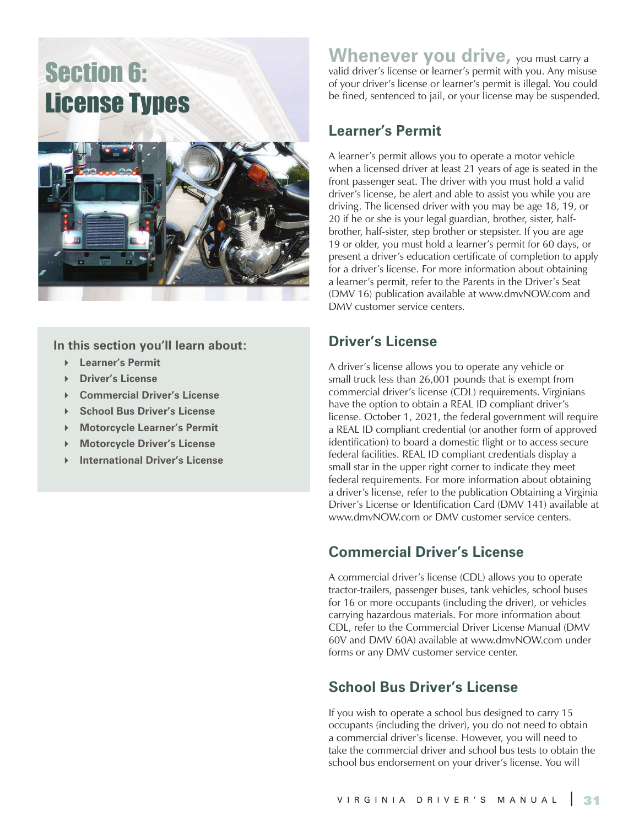# Section 6: License Types



**In this section you'll learn about:**

- **Learner's Permit**
- **Driver's License**
- **Commercial Driver's License**
- **School Bus Driver's License**
- **Motorcycle Learner's Permit**
- **Motorcycle Driver's License**
- **International Driver's License**

**Whenever you drive**, you must carry a valid driver's license or learner's permit with you. Any misuse of your driver's license or learner's permit is illegal. You could be fined, sentenced to jail, or your license may be suspended.

#### **Learner's Permit**

A learner's permit allows you to operate a motor vehicle when a licensed driver at least 21 years of age is seated in the front passenger seat. The driver with you must hold a valid driver's license, be alert and able to assist you while you are driving. The licensed driver with you may be age 18, 19, or 20 if he or she is your legal guardian, brother, sister, halfbrother, half-sister, step brother or stepsister. If you are age 19 or older, you must hold a learner's permit for 60 days, or present a driver's education certificate of completion to apply for a driver's license. For more information about obtaining a learner's permit, refer to the Parents in the Driver's Seat (DMV 16) publication available at www.dmvNOW.com and DMV customer service centers.

#### **Driver's License**

A driver's license allows you to operate any vehicle or small truck less than 26,001 pounds that is exempt from commercial driver's license (CDL) requirements. Virginians have the option to obtain a REAL ID compliant driver's license. October 1, 2021, the federal government will require a REAL ID compliant credential (or another form of approved identification) to board a domestic flight or to access secure federal facilities. REAL ID compliant credentials display a small star in the upper right corner to indicate they meet federal requirements. For more information about obtaining a driver's license, refer to the publication Obtaining a Virginia Driver's License or Identification Card (DMV 141) available at www.dmvNOW.com or DMV customer service centers.

#### **Commercial Driver's License**

A commercial driver's license (CDL) allows you to operate tractor-trailers, passenger buses, tank vehicles, school buses for 16 or more occupants (including the driver), or vehicles carrying hazardous materials. For more information about CDL, refer to the Commercial Driver License Manual (DMV 60V and DMV 60A) available at www.dmvNOW.com under forms or any DMV customer service center.

#### **School Bus Driver's License**

If you wish to operate a school bus designed to carry 15 occupants (including the driver), you do not need to obtain a commercial driver's license. However, you will need to take the commercial driver and school bus tests to obtain the school bus endorsement on your driver's license. You will